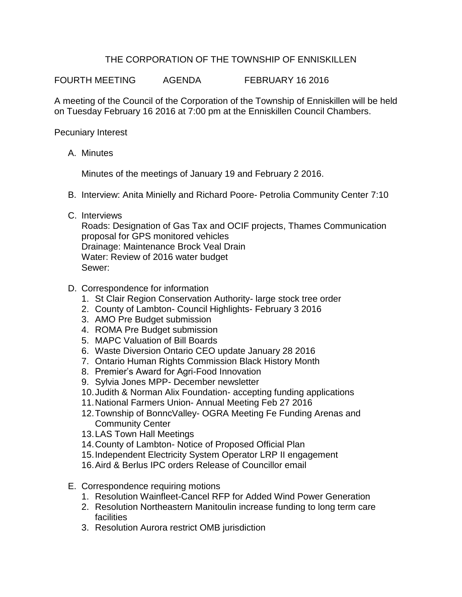## THE CORPORATION OF THE TOWNSHIP OF ENNISKILLEN

FOURTH MEETING AGENDA FEBRUARY 16 2016

A meeting of the Council of the Corporation of the Township of Enniskillen will be held on Tuesday February 16 2016 at 7:00 pm at the Enniskillen Council Chambers.

Pecuniary Interest

A. Minutes

Minutes of the meetings of January 19 and February 2 2016.

- B. Interview: Anita Minielly and Richard Poore- Petrolia Community Center 7:10
- C. Interviews

Roads: Designation of Gas Tax and OCIF projects, Thames Communication proposal for GPS monitored vehicles Drainage: Maintenance Brock Veal Drain Water: Review of 2016 water budget Sewer:

- D. Correspondence for information
	- 1. St Clair Region Conservation Authority- large stock tree order
	- 2. County of Lambton- Council Highlights- February 3 2016
	- 3. AMO Pre Budget submission
	- 4. ROMA Pre Budget submission
	- 5. MAPC Valuation of Bill Boards
	- 6. Waste Diversion Ontario CEO update January 28 2016
	- 7. Ontario Human Rights Commission Black History Month
	- 8. Premier's Award for Agri-Food Innovation
	- 9. Sylvia Jones MPP- December newsletter
	- 10.Judith & Norman Alix Foundation- accepting funding applications
	- 11.National Farmers Union- Annual Meeting Feb 27 2016
	- 12.Township of BonncValley- OGRA Meeting Fe Funding Arenas and Community Center
	- 13.LAS Town Hall Meetings
	- 14.County of Lambton- Notice of Proposed Official Plan
	- 15.Independent Electricity System Operator LRP II engagement
	- 16.Aird & Berlus IPC orders Release of Councillor email
- E. Correspondence requiring motions
	- 1. Resolution Wainfleet-Cancel RFP for Added Wind Power Generation
	- 2. Resolution Northeastern Manitoulin increase funding to long term care facilities
	- 3. Resolution Aurora restrict OMB jurisdiction